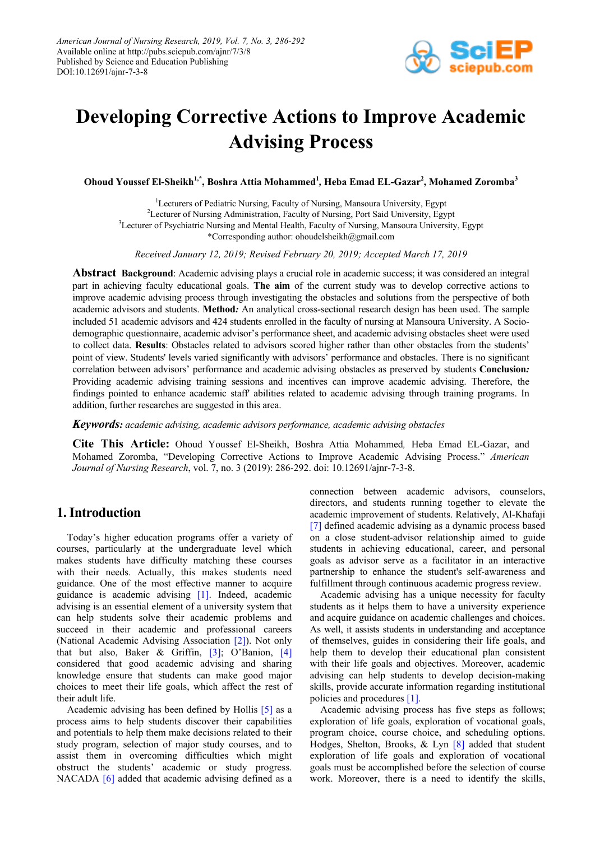

# **Developing Corrective Actions to Improve Academic Advising Process**

**Ohoud Youssef El-Sheikh1,\*, Boshra Attia Mohammed1** *,* **Heba Emad EL-Gazar2 , Mohamed Zoromba<sup>3</sup>**

<sup>1</sup>Lecturers of Pediatric Nursing, Faculty of Nursing, Mansoura University, Egypt <sup>2</sup>Lecturer of Nursing Administration, Faculty of Nursing, Port Said University, Egypt <sup>3</sup>Lecturer of Psychiatric Nursing and Mental Health, Faculty of Nursing, Mansoura University, Egypt \*Corresponding author: ohoudelsheikh@gmail.com

*Received January 12, 2019; Revised February 20, 2019; Accepted March 17, 2019*

**Abstract Background**: Academic advising plays a crucial role in academic success; it was considered an integral part in achieving faculty educational goals. **The aim** of the current study was to develop corrective actions to improve academic advising process through investigating the obstacles and solutions from the perspective of both academic advisors and students. **Method***:* An analytical cross-sectional research design has been used. The sample included 51 academic advisors and 424 students enrolled in the faculty of nursing at Mansoura University. A Sociodemographic questionnaire, academic advisor's performance sheet, and academic advising obstacles sheet were used to collect data. **Results**: Obstacles related to advisors scored higher rather than other obstacles from the students' point of view. Students' levels varied significantly with advisors' performance and obstacles. There is no significant correlation between advisors' performance and academic advising obstacles as preserved by students **Conclusion***:* Providing academic advising training sessions and incentives can improve academic advising. Therefore, the findings pointed to enhance academic staff' abilities related to academic advising through training programs. In addition, further researches are suggested in this area.

*Keywords: academic advising, academic advisors performance, academic advising obstacles*

**Cite This Article:** Ohoud Youssef El-Sheikh, Boshra Attia Mohammed*,* Heba Emad EL-Gazar, and Mohamed Zoromba, "Developing Corrective Actions to Improve Academic Advising Process." *American Journal of Nursing Research*, vol. 7, no. 3 (2019): 286-292. doi: 10.12691/ajnr-7-3-8.

# **1. Introduction**

Today's higher education programs offer a variety of courses, particularly at the undergraduate level which makes students have difficulty matching these courses with their needs. Actually, this makes students need guidance. One of the most effective manner to acquire guidance is academic advising [\[1\].](#page-5-0) Indeed, academic advising is an essential element of a university system that can help students solve their academic problems and succeed in their academic and professional careers (National Academic Advising Association [\[2\]\)](#page-5-1). Not only that but also, Baker & Griffin, [\[3\];](#page-5-2) O'Banion, [\[4\]](#page-5-3) considered that good academic advising and sharing knowledge ensure that students can make good major choices to meet their life goals, which affect the rest of their adult life.

Academic advising has been defined by Hollis [\[5\]](#page-5-4) as a process aims to help students discover their capabilities and potentials to help them make decisions related to their study program, selection of major study courses, and to assist them in overcoming difficulties which might obstruct the students' academic or study progress. NACADA [\[6\]](#page-5-5) added that academic advising defined as a connection between academic advisors, counselors, directors, and students running together to elevate the academic improvement of students. Relatively, Al-Khafaji [\[7\]](#page-6-0) defined academic advising as a dynamic process based on a close student-advisor relationship aimed to guide students in achieving educational, career, and personal goals as advisor serve as a facilitator in an interactive partnership to enhance the student's self-awareness and fulfillment through continuous academic progress review.

Academic advising has a unique necessity for faculty students as it helps them to have a university experience and acquire guidance on academic challenges and choices. As well, it assists students in understanding and acceptance of themselves, guides in considering their life goals, and help them to develop their educational plan consistent with their life goals and objectives. Moreover, academic advising can help students to develop decision-making skills, provide accurate information regarding institutional policies and procedures [\[1\].](#page-5-0)

Academic advising process has five steps as follows; exploration of life goals, exploration of vocational goals, program choice, course choice, and scheduling options. Hodges, Shelton, Brooks, & Lyn [\[8\]](#page-6-1) added that student exploration of life goals and exploration of vocational goals must be accomplished before the selection of course work. Moreover, there is a need to identify the skills,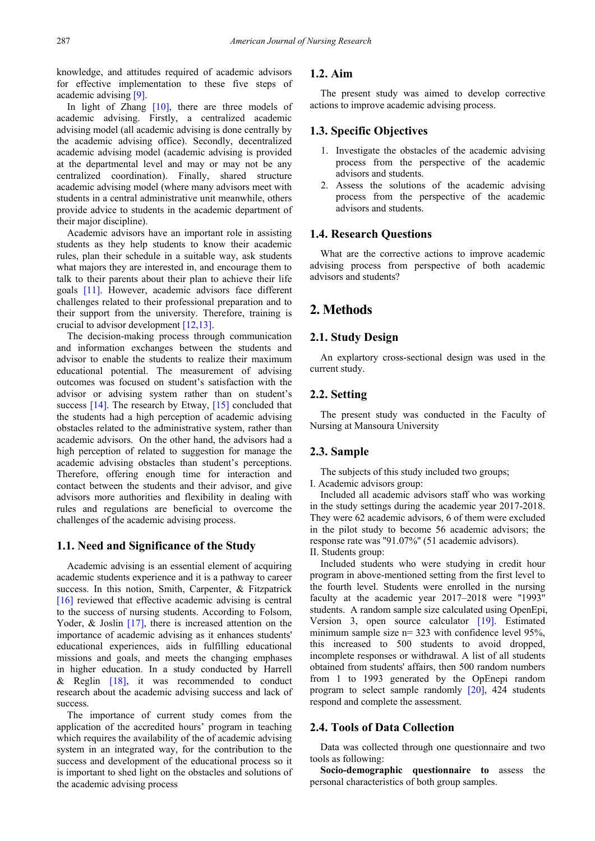knowledge, and attitudes required of academic advisors for effective implementation to these five steps of academic advising [\[9\].](#page-6-2)

In light of Zhang  $[10]$ , there are three models of academic advising. Firstly, a centralized academic advising model (all academic advising is done centrally by the academic advising office). Secondly, decentralized academic advising model (academic advising is provided at the departmental level and may or may not be any centralized coordination). Finally, shared structure academic advising model (where many advisors meet with students in a central administrative unit meanwhile, others provide advice to students in the academic department of their major discipline).

Academic advisors have an important role in assisting students as they help students to know their academic rules, plan their schedule in a suitable way, ask students what majors they are interested in, and encourage them to talk to their parents about their plan to achieve their life goals [\[11\].](#page-6-4) However, academic advisors face different challenges related to their professional preparation and to their support from the university. Therefore, training is crucial to advisor development [\[12,13\].](#page-6-5)

The decision-making process through communication and information exchanges between the students and advisor to enable the students to realize their maximum educational potential. The measurement of advising outcomes was focused on student's satisfaction with the advisor or advising system rather than on student's success [\[14\].](#page-6-6) The research by Etway, [\[15\]](#page-6-7) concluded that the students had a high perception of academic advising obstacles related to the administrative system, rather than academic advisors. On the other hand, the advisors had a high perception of related to suggestion for manage the academic advising obstacles than student's perceptions. Therefore, offering enough time for interaction and contact between the students and their advisor, and give advisors more authorities and flexibility in dealing with rules and regulations are beneficial to overcome the challenges of the academic advising process.

#### **1.1. Need and Significance of the Study**

Academic advising is an essential element of acquiring academic students experience and it is a pathway to career success. In this notion, Smith, Carpenter, & Fitzpatrick [\[16\]](#page-6-8) reviewed that effective academic advising is central to the success of nursing students. According to Folsom, Yoder, & Joslin [\[17\],](#page-6-9) there is increased attention on the importance of academic advising as it enhances students' educational experiences, aids in fulfilling educational missions and goals, and meets the changing emphases in higher education. In a study conducted by Harrell & Reglin  $[18]$ , it was recommended to conduct research about the academic advising success and lack of success.

The importance of current study comes from the application of the accredited hours' program in teaching which requires the availability of the of academic advising system in an integrated way, for the contribution to the success and development of the educational process so it is important to shed light on the obstacles and solutions of the academic advising process

## **1.2. Aim**

The present study was aimed to develop corrective actions to improve academic advising process.

#### **1.3. Specific Objectives**

- 1. Investigate the obstacles of the academic advising process from the perspective of the academic advisors and students.
- 2. Assess the solutions of the academic advising process from the perspective of the academic advisors and students.

#### **1.4. Research Questions**

What are the corrective actions to improve academic advising process from perspective of both academic advisors and students?

# **2. Methods**

### **2.1. Study Design**

An explartory cross-sectional design was used in the current study.

#### **2.2. Setting**

The present study was conducted in the Faculty of Nursing at Mansoura University

#### **2.3. Sample**

The subjects of this study included two groups;

I. Academic advisors group:

Included all academic advisors staff who was working in the study settings during the academic year 2017-2018. They were 62 academic advisors, 6 of them were excluded in the pilot study to become 56 academic advisors; the response rate was ''91.07%'' (51 academic advisors). II. Students group:

Included students who were studying in credit hour program in above-mentioned setting from the first level to the fourth level. Students were enrolled in the nursing faculty at the academic year 2017–2018 were "1993" students. A random sample size calculated using OpenEpi, Version 3, open source calculator [\[19\].](#page-6-11) Estimated minimum sample size n= 323 with confidence level 95%, this increased to 500 students to avoid dropped, incomplete responses or withdrawal. A list of all students obtained from students' affairs, then 500 random numbers from 1 to 1993 generated by the OpEnepi random program to select sample randomly [\[20\],](#page-6-12) 424 students respond and complete the assessment.

## **2.4. Tools of Data Collection**

Data was collected through one questionnaire and two tools as following:

**Socio-demographic questionnaire to** assess the personal characteristics of both group samples.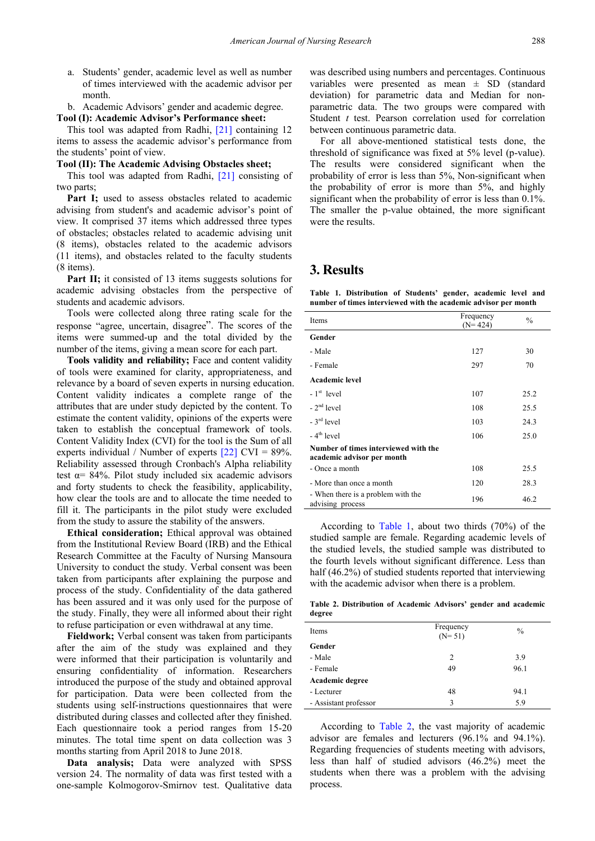- a. Students' gender, academic level as well as number of times interviewed with the academic advisor per month.
- b. Academic Advisors' gender and academic degree.

**Tool (I): Academic Advisor's Performance sheet:**

This tool was adapted from Radhi, [\[21\]](#page-6-13) containing 12 items to assess the academic advisor's performance from the students' point of view.

#### **Tool (II): The Academic Advising Obstacles sheet;**

This tool was adapted from Radhi, [\[21\]](#page-6-13) consisting of two parts;

**Part I;** used to assess obstacles related to academic advising from student's and academic advisor's point of view. It comprised 37 items which addressed three types of obstacles; obstacles related to academic advising unit (8 items), obstacles related to the academic advisors (11 items), and obstacles related to the faculty students (8 items).

**Part II;** it consisted of 13 items suggests solutions for academic advising obstacles from the perspective of students and academic advisors.

Tools were collected along three rating scale for the response "agree, uncertain, disagree". The scores of the items were summed-up and the total divided by the number of the items, giving a mean score for each part.

**Tools validity and reliability;** Face and content validity of tools were examined for clarity, appropriateness, and relevance by a board of seven experts in nursing education. Content validity indicates a complete range of the attributes that are under study depicted by the content. To estimate the content validity, opinions of the experts were taken to establish the conceptual framework of tools. Content Validity Index (CVI) for the tool is the Sum of all experts individual / Number of experts  $[22]$  CVI = 89%. Reliability assessed through Cronbach's Alpha reliability test  $\alpha$ = 84%. Pilot study included six academic advisors and forty students to check the feasibility, applicability, how clear the tools are and to allocate the time needed to fill it. The participants in the pilot study were excluded from the study to assure the stability of the answers.

**Ethical consideration;** Ethical approval was obtained from the Institutional Review Board (IRB) and the Ethical Research Committee at the Faculty of Nursing Mansoura University to conduct the study. Verbal consent was been taken from participants after explaining the purpose and process of the study. Confidentiality of the data gathered has been assured and it was only used for the purpose of the study. Finally, they were all informed about their right to refuse participation or even withdrawal at any time.

**Fieldwork;** Verbal consent was taken from participants after the aim of the study was explained and they were informed that their participation is voluntarily and ensuring confidentiality of information. Researchers introduced the purpose of the study and obtained approval for participation. Data were been collected from the students using self-instructions questionnaires that were distributed during classes and collected after they finished. Each questionnaire took a period ranges from 15-20 minutes. The total time spent on data collection was 3 months starting from April 2018 to June 2018.

**Data analysis;** Data were analyzed with SPSS version 24. The normality of data was first tested with a one-sample Kolmogorov-Smirnov test. Qualitative data was described using numbers and percentages. Continuous variables were presented as mean  $\pm$  SD (standard deviation) for parametric data and Median for nonparametric data. The two groups were compared with Student *t* test. Pearson correlation used for correlation between continuous parametric data.

For all above-mentioned statistical tests done, the threshold of significance was fixed at 5% level (p-value). The results were considered significant when the probability of error is less than 5%, Non-significant when the probability of error is more than 5%, and highly significant when the probability of error is less than 0.1%. The smaller the p-value obtained, the more significant were the results.

# **3. Results**

**Table 1. Distribution of Students' gender, academic level and number of times interviewed with the academic advisor per month**

<span id="page-2-0"></span>

| Items                                                              | Frequency<br>$(N=424)$ | $\frac{0}{0}$ |
|--------------------------------------------------------------------|------------------------|---------------|
| Gender                                                             |                        |               |
| - Male                                                             | 127                    | 30            |
| - Female                                                           | 297                    | 70            |
| <b>Academic level</b>                                              |                        |               |
| $-1st$ level                                                       | 107                    | 25.2          |
| $-2nd$ level                                                       | 108                    | 25.5          |
| $-3^{\text{rd}}$ level                                             | 103                    | 24.3          |
| $-4th$ level                                                       | 106                    | 25.0          |
| Number of times interviewed with the<br>academic advisor per month |                        |               |
| - Once a month                                                     | 108                    | 25.5          |
| - More than once a month                                           | 120                    | 28.3          |
| - When there is a problem with the<br>advising process             | 196                    | 46.2          |

According to [Table 1,](#page-2-0) about two thirds (70%) of the studied sample are female. Regarding academic levels of the studied levels, the studied sample was distributed to the fourth levels without significant difference. Less than half (46.2%) of studied students reported that interviewing with the academic advisor when there is a problem.

**Table 2. Distribution of Academic Advisors' gender and academic degree**

<span id="page-2-1"></span>

| Items                 | Frequency<br>$(N = 51)$ | $\frac{0}{0}$ |
|-----------------------|-------------------------|---------------|
| Gender                |                         |               |
| - Male                | 2                       | 3.9           |
| - Female              | 49                      | 96.1          |
| Academic degree       |                         |               |
| - Lecturer            | 48                      | 94.1          |
| - Assistant professor | 3                       | 5.9           |

According to [Table 2,](#page-2-1) the vast majority of academic advisor are females and lecturers (96.1% and 94.1%). Regarding frequencies of students meeting with advisors, less than half of studied advisors (46.2%) meet the students when there was a problem with the advising process.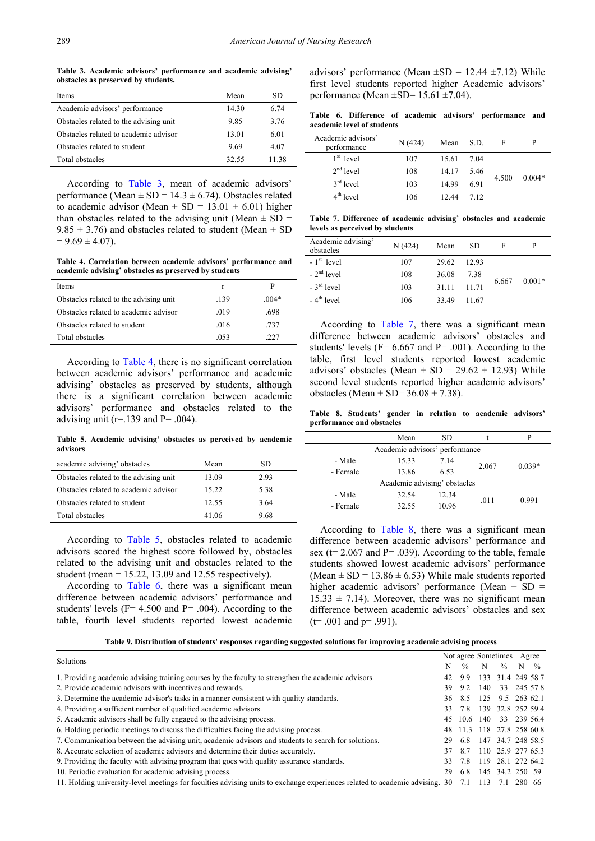**Table 3. Academic advisors' performance and academic advising' obstacles as preserved by students.**

<span id="page-3-0"></span>

| Items                                   | Mean  | SD    |
|-----------------------------------------|-------|-------|
| Academic advisors' performance          | 14.30 | 6.74  |
| Obstacles related to the advising unit. | 9.85  | 3.76  |
| Obstacles related to academic advisor   | 13.01 | 6.01  |
| Obstacles related to student            | 9.69  | 4.07  |
| Total obstacles                         | 32.55 | 11 38 |

According to [Table 3,](#page-3-0) mean of academic advisors' performance (Mean  $\pm$  SD = 14.3  $\pm$  6.74). Obstacles related to academic advisor (Mean  $\pm$  SD = 13.01  $\pm$  6.01) higher than obstacles related to the advising unit (Mean  $\pm$  SD =  $9.85 \pm 3.76$ ) and obstacles related to student (Mean  $\pm$  SD  $= 9.69 \pm 4.07$ .

**Table 4. Correlation between academic advisors' performance and academic advising' obstacles as preserved by students**

<span id="page-3-1"></span>

| Items                                   |      | Р       |
|-----------------------------------------|------|---------|
| Obstacles related to the advising unit. | .139 | $.004*$ |
| Obstacles related to academic advisor   | .019 | .698    |
| Obstacles related to student            | .016 | .737    |
| Total obstacles                         | -053 | 227     |

According to [Table 4,](#page-3-1) there is no significant correlation between academic advisors' performance and academic advising' obstacles as preserved by students, although there is a significant correlation between academic advisors' performance and obstacles related to the advising unit ( $r=139$  and  $P=0.004$ ).

**Table 5. Academic advising' obstacles as perceived by academic advisors**

<span id="page-3-2"></span>

| academic advising' obstacles            | Mean  | SD   |
|-----------------------------------------|-------|------|
| Obstacles related to the advising unit. | 13.09 | 2.93 |
| Obstacles related to academic advisor   | 15.22 | 5.38 |
| Obstacles related to student            | 12.55 | 3.64 |
| Total obstacles                         | 41.06 | 9.68 |

According to [Table 5,](#page-3-2) obstacles related to academic advisors scored the highest score followed by, obstacles related to the advising unit and obstacles related to the student (mean  $= 15.22$ , 13.09 and 12.55 respectively).

According to [Table 6,](#page-3-3) there was a significant mean difference between academic advisors' performance and students' levels ( $F = 4.500$  and  $P = .004$ ). According to the table, fourth level students reported lowest academic advisors' performance (Mean  $\pm SD = 12.44 \pm 7.12$ ) While first level students reported higher Academic advisors' performance (Mean  $\pm$ SD= 15.61  $\pm$ 7.04).

**Table 6. Difference of academic advisors' performance and academic level of students**

<span id="page-3-3"></span>

| Academic advisors'<br>performance | N(424) | Mean  | S.D. | F     | P        |
|-----------------------------------|--------|-------|------|-------|----------|
| $1st$ level                       | 107    | 15.61 | 7.04 |       |          |
| $2nd$ level                       | 108    | 14.17 | 5.46 |       |          |
| $3rd$ level                       | 103    | 14 99 | 6.91 | 4.500 | $0.004*$ |
| $4th$ level                       | 106    | 12.44 | 7.12 |       |          |

**Table 7. Difference of academic advising' obstacles and academic levels as perceived by students**

<span id="page-3-4"></span>

| Academic advising'<br>obstacles | N(424) | Mean  | SD    | F     | P        |
|---------------------------------|--------|-------|-------|-------|----------|
| $-1st$ level                    | 107    | 29.62 | 12.93 |       |          |
| $-2nd$ level                    | 108    | 36.08 | 7.38  |       | $0.001*$ |
| $-3rd$ level                    | 103    | 31.11 | 11 71 | 6.667 |          |
| $-4th$ level                    | 106    | 33.49 | 11.67 |       |          |

According to [Table 7,](#page-3-4) there was a significant mean difference between academic advisors' obstacles and students' levels ( $F= 6.667$  and  $P= .001$ ). According to the table, first level students reported lowest academic advisors' obstacles (Mean + SD =  $29.62 + 12.93$ ) While second level students reported higher academic advisors' obstacles (Mean  $\pm$  SD= 36.08  $\pm$  7.38).

**Table 8. Students' gender in relation to academic advisors' performance and obstacles**

<span id="page-3-5"></span>

|          | Mean<br>SD                     |       |          | P     |  |
|----------|--------------------------------|-------|----------|-------|--|
|          | Academic advisors' performance |       |          |       |  |
| - Male   | 15.33                          | 7.14  |          |       |  |
| - Female | 6.53<br>13.86                  | 2.067 | $0.039*$ |       |  |
|          | Academic advising' obstacles   |       |          |       |  |
| - Male   | 32.54                          | 12.34 |          | 0.991 |  |
| - Female | 32.55                          | 10.96 | .011     |       |  |
|          |                                |       |          |       |  |

According to [Table 8,](#page-3-5) there was a significant mean difference between academic advisors' performance and sex ( $t= 2.067$  and P= .039). According to the table, female students showed lowest academic advisors' performance (Mean  $\pm$  SD = 13.86  $\pm$  6.53) While male students reported higher academic advisors' performance (Mean  $\pm$  SD =  $15.33 \pm 7.14$ ). Moreover, there was no significant mean difference between academic advisors' obstacles and sex  $(t= .001$  and  $p= .991$ ).

| Table 9. Distribution of students' responses regarding suggested solutions for improving academic advising process |  |  |  |  |
|--------------------------------------------------------------------------------------------------------------------|--|--|--|--|
|                                                                                                                    |  |  |  |  |
|                                                                                                                    |  |  |  |  |

<span id="page-3-6"></span>

| Solutions                                                                                                                   |     |                        | Not agree Sometimes |                   |        | Agree         |
|-----------------------------------------------------------------------------------------------------------------------------|-----|------------------------|---------------------|-------------------|--------|---------------|
|                                                                                                                             | N   | $\frac{0}{0}$          | N                   | $\frac{0}{0}$     | N      | $\frac{0}{0}$ |
| 1. Providing academic advising training courses by the faculty to strengthen the academic advisors.                         | 42  | 99                     | 133                 | 31.4 249 58.7     |        |               |
| 2. Provide academic advisors with incentives and rewards.                                                                   | 39  | 92                     | 140                 | 33                |        | 245 57.8      |
| 3. Determine the academic advisor's tasks in a manner consistent with quality standards.                                    | 36. | 8.5                    | 125                 | 9.5 263 62.1      |        |               |
| 4. Providing a sufficient number of qualified academic advisors.                                                            | 33. | 78                     |                     | 139 32.8 252 59.4 |        |               |
| 5. Academic advisors shall be fully engaged to the advising process.                                                        |     | 45 10.6                | 140                 |                   |        | 33 239 56.4   |
| 6. Holding periodic meetings to discuss the difficulties facing the advising process.                                       |     | 11.3 118 27.8 258 60.8 |                     |                   |        |               |
| 7. Communication between the advising unit, academic advisors and students to search for solutions.                         | 29. | 6.8                    |                     | 147 34.7 248 58.5 |        |               |
| 8. Accurate selection of academic advisors and determine their duties accurately.                                           |     | 8.7                    |                     | 110 25.9 277 65.3 |        |               |
| 9. Providing the faculty with advising program that goes with quality assurance standards.                                  |     | 78                     |                     | 119 28.1 272 64.2 |        |               |
| 10. Periodic evaluation for academic advising process.                                                                      | 29  | 6.8                    |                     | 145 34.2 250 59   |        |               |
| 11. Holding university-level meetings for faculties advising units to exchange experiences related to academic advising. 30 |     | 7.1                    | 113                 | 7.1               | 280 66 |               |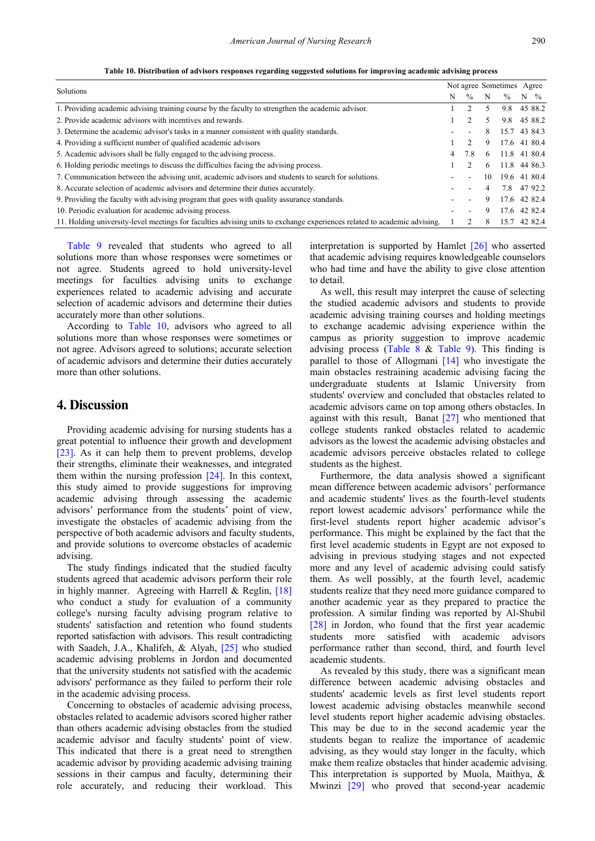**Table 10. Distribution of advisors responses regarding suggested solutions for improving academic advising process**

<span id="page-4-0"></span>

| Solutions                                                                                                                |                |               | Not agree Sometimes Agree |               |                 |
|--------------------------------------------------------------------------------------------------------------------------|----------------|---------------|---------------------------|---------------|-----------------|
|                                                                                                                          | N              | $\frac{0}{0}$ | N                         | $\frac{0}{0}$ | $N \frac{9}{6}$ |
| 1. Providing academic advising training course by the faculty to strengthen the academic advisor.                        |                |               | 5                         | 9.8           | 45 88.2         |
| 2. Provide academic advisors with incentives and rewards.                                                                |                |               | 5.                        | 9.8           | 45 88.2         |
| 3. Determine the academic advisor's tasks in a manner consistent with quality standards.                                 |                |               | 8                         | 15.7 43 84.3  |                 |
| 4. Providing a sufficient number of qualified academic advisors                                                          |                |               | 9                         | 17.6 41 80.4  |                 |
| 5. Academic advisors shall be fully engaged to the advising process.                                                     | $\overline{4}$ | 78            | -6                        | 11.8 41 80.4  |                 |
| 6. Holding periodic meetings to discuss the difficulties facing the advising process.                                    |                |               | 6                         | 11.8 44 86.3  |                 |
| 7. Communication between the advising unit, academic advisors and students to search for solutions.                      |                |               | 10                        | 19.6 41 80.4  |                 |
| 8. Accurate selection of academic advisors and determine their duties accurately.                                        |                |               | 4                         | 7.8 47 92.2   |                 |
| 9. Providing the faculty with advising program that goes with quality assurance standards.                               |                |               | 9                         | 17.6 42 82.4  |                 |
| 10. Periodic evaluation for academic advising process.                                                                   |                |               | 9                         | 17.6 42 82.4  |                 |
| 11. Holding university-level meetings for faculties advising units to exchange experiences related to academic advising. |                |               | 8                         | 15.7 42 82.4  |                 |

[Table 9](#page-3-6) revealed that students who agreed to all solutions more than whose responses were sometimes or not agree. Students agreed to hold university-level meetings for faculties advising units to exchange experiences related to academic advising and accurate selection of academic advisors and determine their duties accurately more than other solutions.

According to [Table 10,](#page-4-0) advisors who agreed to all solutions more than whose responses were sometimes or not agree. Advisors agreed to solutions; accurate selection of academic advisors and determine their duties accurately more than other solutions.

# **4. Discussion**

Providing academic advising for nursing students has a great potential to influence their growth and development [\[23\].](#page-6-15) As it can help them to prevent problems, develop their strengths, eliminate their weaknesses, and integrated them within the nursing profession [\[24\].](#page-6-16) In this context, this study aimed to provide suggestions for improving academic advising through assessing the academic advisors' performance from the students' point of view, investigate the obstacles of academic advising from the perspective of both academic advisors and faculty students, and provide solutions to overcome obstacles of academic advising.

The study findings indicated that the studied faculty students agreed that academic advisors perform their role in highly manner. Agreeing with Harrell  $&$  Reglin, [\[18\]](#page-6-10) who conduct a study for evaluation of a community college's nursing faculty advising program relative to students' satisfaction and retention who found students reported satisfaction with advisors. This result contradicting with Saadeh, J.A., Khalifeh, & Alyah, [\[25\]](#page-6-17) who studied academic advising problems in Jordon and documented that the university students not satisfied with the academic advisors' performance as they failed to perform their role in the academic advising process.

Concerning to obstacles of academic advising process, obstacles related to academic advisors scored higher rather than others academic advising obstacles from the studied academic advisor and faculty students' point of view. This indicated that there is a great need to strengthen academic advisor by providing academic advising training sessions in their campus and faculty, determining their role accurately, and reducing their workload. This

interpretation is supported by Hamlet [\[26\]](#page-6-18) who asserted that academic advising requires knowledgeable counselors who had time and have the ability to give close attention to detail.

As well, this result may interpret the cause of selecting the studied academic advisors and students to provide academic advising training courses and holding meetings to exchange academic advising experience within the campus as priority suggestion to improve academic advising process [\(Table 8](#page-3-5)  $&$  [Table 9\)](#page-3-6). This finding is parallel to those of Allogmani [\[14\]](#page-6-6) who investigate the main obstacles restraining academic advising facing the undergraduate students at Islamic University from students' overview and concluded that obstacles related to academic advisors came on top among others obstacles. In against with this result, Banat [\[27\]](#page-6-19) who mentioned that college students ranked obstacles related to academic advisors as the lowest the academic advising obstacles and academic advisors perceive obstacles related to college students as the highest.

Furthermore, the data analysis showed a significant mean difference between academic advisors' performance and academic students' lives as the fourth-level students report lowest academic advisors' performance while the first-level students report higher academic advisor's performance. This might be explained by the fact that the first level academic students in Egypt are not exposed to advising in previous studying stages and not expected more and any level of academic advising could satisfy them. As well possibly, at the fourth level, academic students realize that they need more guidance compared to another academic year as they prepared to practice the profession. A similar finding was reported by Al-Shubil [\[28\]](#page-6-20) in Jordon, who found that the first year academic students more satisfied with academic advisors performance rather than second, third, and fourth level academic students.

As revealed by this study, there was a significant mean difference between academic advising obstacles and students' academic levels as first level students report lowest academic advising obstacles meanwhile second level students report higher academic advising obstacles. This may be due to in the second academic year the students began to realize the importance of academic advising, as they would stay longer in the faculty, which make them realize obstacles that hinder academic advising. This interpretation is supported by Muola, Maithya, & Mwinzi [\[29\]](#page-6-21) who proved that second-year academic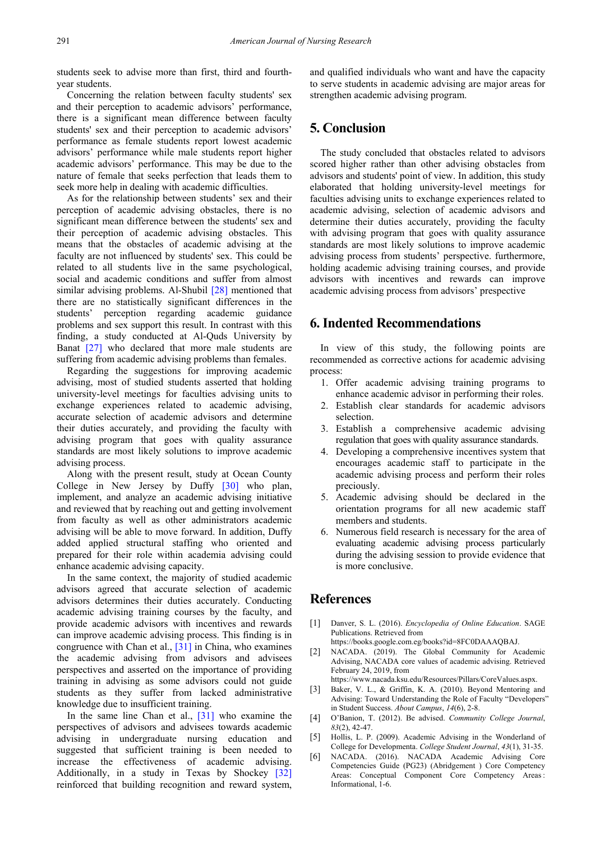students seek to advise more than first, third and fourthyear students.

Concerning the relation between faculty students' sex and their perception to academic advisors' performance, there is a significant mean difference between faculty students' sex and their perception to academic advisors' performance as female students report lowest academic advisors' performance while male students report higher academic advisors' performance. This may be due to the nature of female that seeks perfection that leads them to seek more help in dealing with academic difficulties.

As for the relationship between students' sex and their perception of academic advising obstacles, there is no significant mean difference between the students' sex and their perception of academic advising obstacles. This means that the obstacles of academic advising at the faculty are not influenced by students' sex. This could be related to all students live in the same psychological, social and academic conditions and suffer from almost similar advising problems. Al-Shubil [\[28\]](#page-6-20) mentioned that there are no statistically significant differences in the students' perception regarding academic guidance problems and sex support this result. In contrast with this finding, a study conducted at Al-Quds University by Banat [\[27\]](#page-6-19) who declared that more male students are suffering from academic advising problems than females.

Regarding the suggestions for improving academic advising, most of studied students asserted that holding university-level meetings for faculties advising units to exchange experiences related to academic advising, accurate selection of academic advisors and determine their duties accurately, and providing the faculty with advising program that goes with quality assurance standards are most likely solutions to improve academic advising process.

Along with the present result, study at Ocean County College in New Jersey by Duffy [\[30\]](#page-6-22) who plan, implement, and analyze an academic advising initiative and reviewed that by reaching out and getting involvement from faculty as well as other administrators academic advising will be able to move forward. In addition, Duffy added applied structural staffing who oriented and prepared for their role within academia advising could enhance academic advising capacity.

In the same context, the majority of studied academic advisors agreed that accurate selection of academic advisors determines their duties accurately. Conducting academic advising training courses by the faculty, and provide academic advisors with incentives and rewards can improve academic advising process. This finding is in congruence with Chan et al., [\[31\]](#page-6-23) in China, who examines the academic advising from advisors and advisees perspectives and asserted on the importance of providing training in advising as some advisors could not guide students as they suffer from lacked administrative knowledge due to insufficient training.

In the same line Chan et al., [\[31\]](#page-6-23) who examine the perspectives of advisors and advisees towards academic advising in undergraduate nursing education and suggested that sufficient training is been needed to increase the effectiveness of academic advising. Additionally, in a study in Texas by Shockey [\[32\]](#page-6-24) reinforced that building recognition and reward system, and qualified individuals who want and have the capacity to serve students in academic advising are major areas for strengthen academic advising program.

# **5. Conclusion**

The study concluded that obstacles related to advisors scored higher rather than other advising obstacles from advisors and students' point of view. In addition, this study elaborated that holding university-level meetings for faculties advising units to exchange experiences related to academic advising, selection of academic advisors and determine their duties accurately, providing the faculty with advising program that goes with quality assurance standards are most likely solutions to improve academic advising process from students' perspective. furthermore, holding academic advising training courses, and provide advisors with incentives and rewards can improve academic advising process from advisors' prespective

# **6. Indented Recommendations**

In view of this study, the following points are recommended as corrective actions for academic advising process:

- 1. Offer academic advising training programs to enhance academic advisor in performing their roles.
- 2. Establish clear standards for academic advisors selection.
- 3. Establish a comprehensive academic advising regulation that goes with quality assurance standards.
- 4. Developing a comprehensive incentives system that encourages academic staff to participate in the academic advising process and perform their roles preciously.
- 5. Academic advising should be declared in the orientation programs for all new academic staff members and students.
- 6. Numerous field research is necessary for the area of evaluating academic advising process particularly during the advising session to provide evidence that is more conclusive.

## **References**

- <span id="page-5-0"></span>[1] Danver, S. L. (2016). *Encyclopedia of Online Education*. SAGE Publications. Retrieved from
	- https://books.google.com.eg/books?id=8FC0DAAAQBAJ.
- <span id="page-5-1"></span>[2] NACADA. (2019). The Global Community for Academic Advising, NACADA core values of academic advising. Retrieved February 24, 2019, from

https://www.nacada.ksu.edu/Resources/Pillars/CoreValues.aspx.

- <span id="page-5-2"></span>[3] Baker, V. L., & Griffin, K. A. (2010). Beyond Mentoring and Advising: Toward Understanding the Role of Faculty "Developers" in Student Success. *About Campus*, *14*(6), 2-8.
- <span id="page-5-3"></span>[4] O'Banion, T. (2012). Be advised. *Community College Journal*, *83*(2), 42-47.
- <span id="page-5-4"></span>[5] Hollis, L. P. (2009). Academic Advising in the Wonderland of College for Developmenta. *College Student Journal*, *43*(1), 31-35.
- <span id="page-5-5"></span>[6] NACADA. (2016). NACADA Academic Advising Core Competencies Guide (PG23) (Abridgement ) Core Competency Areas: Conceptual Component Core Competency Areas : Informational, 1-6.